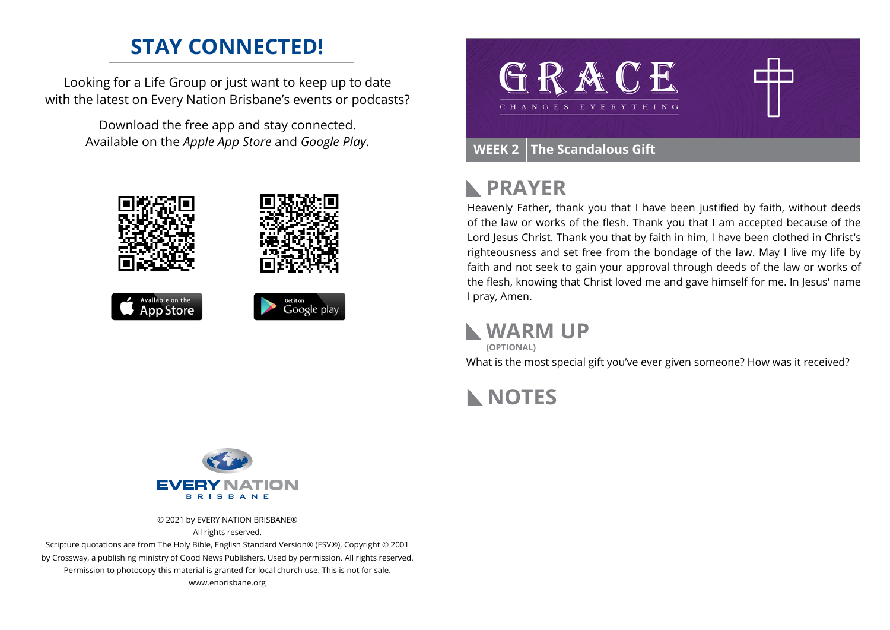## **STAY CONNECTED!**

Looking for a Life Group or just want to keep up to date with the latest on Every Nation Brisbane's events or podcasts?

> Download the free app and stay connected. Available on the *Apple App Store* and *Google Play*.





#### **PRAYER**  $\blacktriangleright$

Heavenly Father, thank you that I have been justified by faith, without deeds of the law or works of the flesh. Thank you that I am accepted because of the Lord Jesus Christ. Thank you that by faith in him, I have been clothed in Christ's righteousness and set free from the bondage of the law. May I live my life by faith and not seek to gain your approval through deeds of the law or works of the flesh, knowing that Christ loved me and gave himself for me. In Jesus' name I pray, Amen.

#### **WARM UP**

**(OPTIONAL)**

What is the most special gift you've ever given someone? How was it received?

# **NOTES**

## FVFI **B B L B B A NLE**

© 2021 by EVERY NATION BRISBANE® All rights reserved.

Scripture quotations are from The Holy Bible, English Standard Version® (ESV®), Copyright © 2001 by Crossway, a publishing ministry of Good News Publishers. Used by permission. All rights reserved. Permission to photocopy this material is granted for local church use. This is not for sale. www.enbrisbane.org